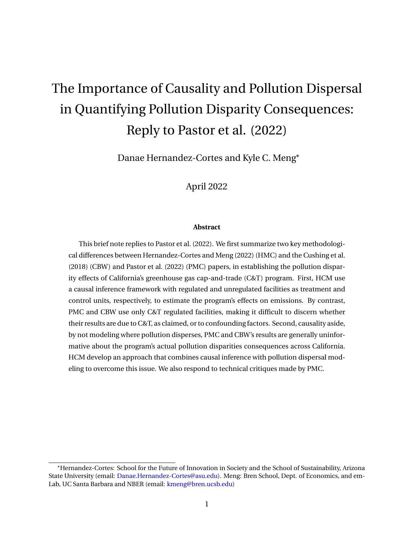# The Importance of Causality and Pollution Dispersal in Quantifying Pollution Disparity Consequences: Reply to Pastor et al. (2022)

Danae Hernandez-Cortes and Kyle C. Meng<sup>∗</sup>

April 2022

#### **Abstract**

This brief note replies to [Pastor et al.](#page-11-0) [\(2022\)](#page-11-0). We first summarize two key methodological differences between [Hernandez-Cortes and Meng](#page-11-1) [\(2022\)](#page-11-1) (HMC) and the [Cushing et al.](#page-10-0) [\(2018\)](#page-10-0) (CBW) and [Pastor et al.](#page-11-0) [\(2022\)](#page-11-0) (PMC) papers, in establishing the pollution disparity effects of California's greenhouse gas cap-and-trade (C&T) program. First, HCM use a causal inference framework with regulated and unregulated facilities as treatment and control units, respectively, to estimate the program's effects on emissions. By contrast, PMC and CBW use only C&T regulated facilities, making it difficult to discern whether their results are due to C&T, as claimed, or to confounding factors. Second, causality aside, by not modeling where pollution disperses, PMC and CBW's results are generally uninformative about the program's actual pollution disparities consequences across California. HCM develop an approach that combines causal inference with pollution dispersal modeling to overcome this issue. We also respond to technical critiques made by PMC.

<sup>∗</sup>Hernandez-Cortes: School for the Future of Innovation in Society and the School of Sustainability, Arizona State University (email: [Danae.Hernandez-Cortes@asu.edu\)](mailto:Danae.Hernandez-Cortes@asu.edu). Meng: Bren School, Dept. of Economics, and em-Lab, UC Santa Barbara and NBER (email: [kmeng@bren.ucsb.edu\)](mailto:kmeng@bren.ucsb.edu)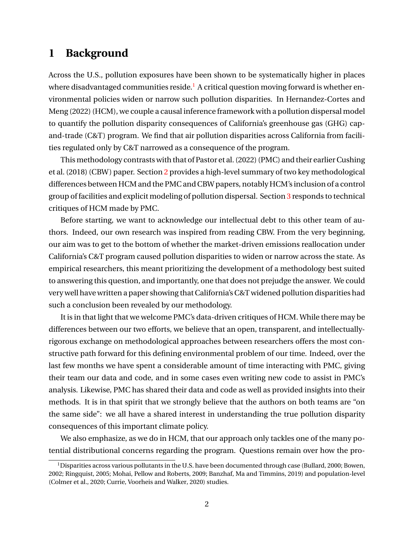## **1 Background**

Across the U.S., pollution exposures have been shown to be systematically higher in places where disadvantaged communities reside.<sup>[1](#page-1-0)</sup> A critical question moving forward is whether environmental policies widen or narrow such pollution disparities. In [Hernandez-Cortes and](#page-11-1) [Meng](#page-11-1) [\(2022\)](#page-11-1) (HCM), we couple a causal inference framework with a pollution dispersal model to quantify the pollution disparity consequences of California's greenhouse gas (GHG) capand-trade (C&T) program. We find that air pollution disparities across California from facilities regulated only by C&T narrowed as a consequence of the program.

This methodology contrasts with that of Pastor et al. (2022) (PMC) and their earlier [Cushing](#page-10-0) [et al.](#page-10-0) [\(2018\)](#page-10-0) (CBW) paper. Section [2](#page-2-0) provides a high-level summary of two key methodological differences between HCM and the PMC and CBW papers, notably HCM's inclusion of a control group of facilities and explicit modeling of pollution dispersal. Section [3](#page-6-0) responds to technical critiques of HCM made by PMC.

Before starting, we want to acknowledge our intellectual debt to this other team of authors. Indeed, our own research was inspired from reading CBW. From the very beginning, our aim was to get to the bottom of whether the market-driven emissions reallocation under California's C&T program caused pollution disparities to widen or narrow across the state. As empirical researchers, this meant prioritizing the development of a methodology best suited to answering this question, and importantly, one that does not prejudge the answer. We could very well have written a paper showing that California's C&T widened pollution disparities had such a conclusion been revealed by our methodology.

It is in that light that we welcome PMC's data-driven critiques of HCM. While there may be differences between our two efforts, we believe that an open, transparent, and intellectuallyrigorous exchange on methodological approaches between researchers offers the most constructive path forward for this defining environmental problem of our time. Indeed, over the last few months we have spent a considerable amount of time interacting with PMC, giving their team our data and code, and in some cases even writing new code to assist in PMC's analysis. Likewise, PMC has shared their data and code as well as provided insights into their methods. It is in that spirit that we strongly believe that the authors on both teams are "on the same side": we all have a shared interest in understanding the true pollution disparity consequences of this important climate policy.

We also emphasize, as we do in HCM, that our approach only tackles one of the many potential distributional concerns regarding the program. Questions remain over how the pro-

<span id="page-1-0"></span><sup>&</sup>lt;sup>1</sup>Disparities across various pollutants in the U.S. have been documented through case [\(Bullard,](#page-10-1) [2000;](#page-10-1) [Bowen,](#page-10-2) [2002;](#page-10-2) [Ringquist,](#page-11-2) [2005;](#page-11-2) [Mohai, Pellow and Roberts,](#page-11-3) [2009;](#page-11-3) [Banzhaf, Ma and Timmins,](#page-10-3) [2019\)](#page-10-3) and population-level [\(Colmer et al.,](#page-10-4) [2020;](#page-10-4) [Currie, Voorheis and Walker,](#page-10-5) [2020\)](#page-10-5) studies.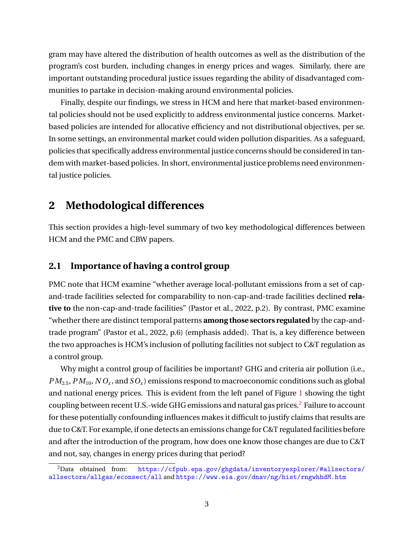gram may have altered the distribution of health outcomes as well as the distribution of the program's cost burden, including changes in energy prices and wages. Similarly, there are important outstanding procedural justice issues regarding the ability of disadvantaged communities to partake in decision-making around environmental policies.

Finally, despite our findings, we stress in HCM and here that market-based environmental policies should not be used explicitly to address environmental justice concerns. Marketbased policies are intended for allocative efficiency and not distributional objectives, per se. In some settings, an environmental market could widen pollution disparities. As a safeguard, policies that specifically address environmental justice concerns should be considered in tandem with market-based policies. In short, environmental justice problems need environmental justice policies.

# <span id="page-2-0"></span>**2 Methodological differences**

This section provides a high-level summary of two key methodological differences between HCM and the PMC and CBW papers.

### <span id="page-2-2"></span>**2.1 Importance of having a control group**

PMC note that HCM examine "whether average local-pollutant emissions from a set of capand-trade facilities selected for comparability to non-cap-and-trade facilities declined **relative to** the non-cap-and-trade facilities" [\(Pastor et al.,](#page-11-0) [2022,](#page-11-0) p.2). By contrast, PMC examine "whether there are distinct temporal patterns **among those sectors regulated** by the cap-andtrade program" [\(Pastor et al.,](#page-11-0) [2022,](#page-11-0) p.6) (emphasis added). That is, a key difference between the two approaches is HCM's inclusion of polluting facilities not subject to C&T regulation as a control group.

Why might a control group of facilities be important? GHG and criteria air pollution (i.e.,  $PM_{2.5}, \textit{PM}_{10}, \textit{NO}_x, \text{and } \textit{SO}_x)$  emissions respond to macroeconomic conditions such as global and national energy prices. This is evident from the left panel of Figure [1](#page-3-0) showing the tight coupling between recent U.S.-wide GHG emissions and natural gas prices.<sup>[2](#page-2-1)</sup> Failure to account for these potentially confounding influences makes it difficult to justify claims that results are due to C&T. For example, if one detects an emissions change for C&T regulated facilities before and after the introduction of the program, how does one know those changes are due to C&T and not, say, changes in energy prices during that period?

<span id="page-2-1"></span><sup>2</sup>Data obtained from: [https://cfpub.epa.gov/ghgdata/inventoryexplorer/#allsectors/](https://cfpub.epa.gov/ghgdata/inventoryexplorer/#allsectors/allsectors/allgas/econsect/all) [allsectors/allgas/econsect/all](https://cfpub.epa.gov/ghgdata/inventoryexplorer/#allsectors/allsectors/allgas/econsect/all) and <https://www.eia.gov/dnav/ng/hist/rngwhhdM.htm>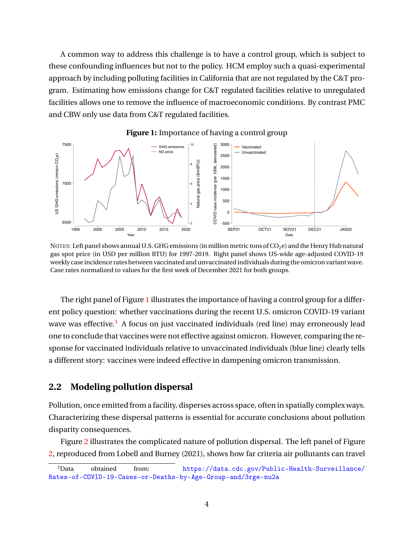A common way to address this challenge is to have a control group, which is subject to these confounding influences but not to the policy. HCM employ such a quasi-experimental approach by including polluting facilities in California that are not regulated by the C&T program. Estimating how emissions change for C&T regulated facilities relative to unregulated facilities allows one to remove the influence of macroeconomic conditions. By contrast PMC and CBW only use data from C&T regulated facilities.

<span id="page-3-0"></span>

**Figure 1:** Importance of having a control group

NOTES: Left panel shows annual U.S. GHG emissions (in million metric tons of  $CO<sub>2</sub>e$ ) and the Henry Hub natural gas spot price (in USD per million BTU) for 1997-2019. Right panel shows US-wide age-adjusted COVID-19 weekly case incidence rates between vaccinated and unvaccinated individuals during the omicron variant wave. Case rates normalized to values for the first week of December 2021 for both groups.

The right panel of Figure [1](#page-3-0) illustrates the importance of having a control group for a different policy question: whether vaccinations during the recent U.S. omicron COVID-19 variant wave was effective.<sup>[3](#page-3-1)</sup> A focus on just vaccinated individuals (red line) may erroneously lead one to conclude that vaccines were not effective against omicron. However, comparing the response for vaccinated individuals relative to unvaccinated individuals (blue line) clearly tells a different story: vaccines were indeed effective in dampening omicron transmission.

## <span id="page-3-2"></span>**2.2 Modeling pollution dispersal**

Pollution, once emitted from a facility, disperses across space, often in spatially complex ways. Characterizing these dispersal patterns is essential for accurate conclusions about pollution disparity consequences.

Figure [2](#page-4-0) illustrates the complicated nature of pollution dispersal. The left panel of Figure [2,](#page-4-0) reproduced from [Lobell and Burney](#page-11-4) [\(2021\)](#page-11-4), shows how far criteria air pollutants can travel

<span id="page-3-1"></span><sup>3</sup>Data obtained from: [https://data.cdc.gov/Public-Health-Surveillance/](https://data.cdc.gov/Public-Health-Surveillance/Rates-of-COVID-19-Cases-or-Deaths-by-Age-Group-and/3rge-nu2a) [Rates-of-COVID-19-Cases-or-Deaths-by-Age-Group-and/3rge-nu2a](https://data.cdc.gov/Public-Health-Surveillance/Rates-of-COVID-19-Cases-or-Deaths-by-Age-Group-and/3rge-nu2a)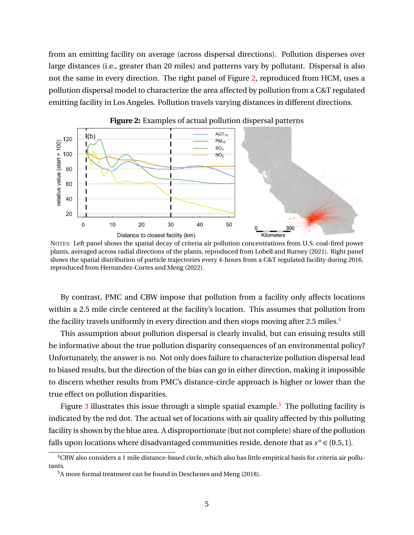from an emitting facility on average (across dispersal directions). Pollution disperses over large distances (i.e., greater than 20 miles) and patterns vary by pollutant. Dispersal is also not the same in every direction. The right panel of Figure [2,](#page-4-0) reproduced from HCM, uses a pollution dispersal model to characterize the area affected by pollution from a C&T regulated emitting facility in Los Angeles. Pollution travels varying distances in different directions.

<span id="page-4-0"></span>

**Figure 2:** Examples of actual pollution dispersal patterns

NOTES: Left panel shows the spatial decay of criteria air pollution concentrations from U.S. coal-fired power plants, averaged across radial directions of the plants, reproduced from [Lobell and Burney](#page-11-4) [\(2021\)](#page-11-4). Right panel shows the spatial distribution of particle trajectories every 4-hours from a C&T regulated facility during 2016, reproduced from [Hernandez-Cortes and Meng](#page-11-1) [\(2022\)](#page-11-1).

By contrast, PMC and CBW impose that pollution from a facility only affects locations within a 2.5 mile circle centered at the facility's location. This assumes that pollution from the facility travels uniformly in every direction and then stops moving after 2.5 miles.<sup>[4](#page-4-1)</sup>

This assumption about pollution dispersal is clearly invalid, but can ensuing results still be informative about the true pollution disparity consequences of an environmental policy? Unfortunately, the answer is no. Not only does failure to characterize pollution dispersal lead to biased results, but the direction of the bias can go in either direction, making it impossible to discern whether results from PMC's distance-circle approach is higher or lower than the true effect on pollution disparities.

Figure [3](#page-5-0) illustrates this issue through a simple spatial example.<sup>[5](#page-4-2)</sup> The polluting facility is indicated by the red dot. The actual set of locations with air quality affected by this polluting facility is shown by the blue area. A disproportionate (but not complete) share of the pollution falls upon locations where disadvantaged communities reside, denote that as  $s^o \in (0.5, 1)$ .

<span id="page-4-1"></span><sup>4</sup>CBW also considers a 1 mile distance-based circle, which also has little empirical basis for criteria air pollutants.

<span id="page-4-2"></span><sup>5</sup>A more formal treatment can be found in [Deschenes and Meng](#page-10-6) [\(2018\)](#page-10-6).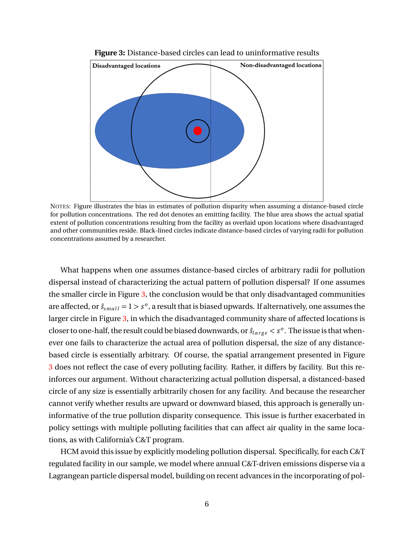<span id="page-5-0"></span>

**Figure 3:** Distance-based circles can lead to uninformative results

NOTES: Figure illustrates the bias in estimates of pollution disparity when assuming a distance-based circle for pollution concentrations. The red dot denotes an emitting facility. The blue area shows the actual spatial extent of pollution concentrations resulting from the facility as overlaid upon locations where disadvantaged and other communities reside. Black-lined circles indicate distance-based circles of varying radii for pollution concentrations assumed by a researcher.

What happens when one assumes distance-based circles of arbitrary radii for pollution dispersal instead of characterizing the actual pattern of pollution dispersal? If one assumes the smaller circle in Figure [3,](#page-5-0) the conclusion would be that only disadvantaged communities are affected, or  $\hat{s}_{small} = 1 > s^o$ , a result that is biased upwards. If alternatively, one assumes the larger circle in Figure [3,](#page-5-0) in which the disadvantaged community share of affected locations is closer to one-half, the result could be biased downwards, or  $\hat{s}_{large} < s^o$ . The issue is that whenever one fails to characterize the actual area of pollution dispersal, the size of any distancebased circle is essentially arbitrary. Of course, the spatial arrangement presented in Figure [3](#page-5-0) does not reflect the case of every polluting facility. Rather, it differs by facility. But this reinforces our argument. Without characterizing actual pollution dispersal, a distanced-based circle of any size is essentially arbitrarily chosen for any facility. And because the researcher cannot verify whether results are upward or downward biased, this approach is generally uninformative of the true pollution disparity consequence. This issue is further exacerbated in policy settings with multiple polluting facilities that can affect air quality in the same locations, as with California's C&T program.

HCM avoid this issue by explicitly modeling pollution dispersal. Specifically, for each C&T regulated facility in our sample, we model where annual C&T-driven emissions disperse via a Lagrangean particle dispersal model, building on recent advances in the incorporating of pol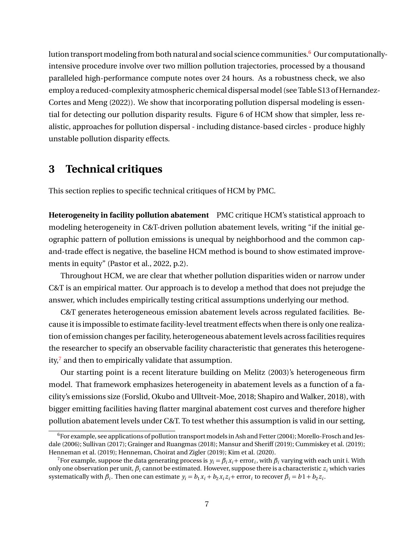lution transport modeling from both natural and social science communities.<sup>[6](#page-6-1)</sup> Our computationallyintensive procedure involve over two million pollution trajectories, processed by a thousand paralleled high-performance compute notes over 24 hours. As a robustness check, we also employ a reduced-complexity atmospheric chemical dispersal model (see Table S13 of [Hernand](#page-11-1)ez-[Cortes and Meng](#page-11-1) [\(2022\)](#page-11-1)). We show that incorporating pollution dispersal modeling is essential for detecting our pollution disparity results. Figure 6 of HCM show that simpler, less realistic, approaches for pollution dispersal - including distance-based circles - produce highly unstable pollution disparity effects.

# <span id="page-6-0"></span>**3 Technical critiques**

This section replies to specific technical critiques of HCM by PMC.

**Heterogeneity in facility pollution abatement** PMC critique HCM's statistical approach to modeling heterogeneity in C&T-driven pollution abatement levels, writing "if the initial geographic pattern of pollution emissions is unequal by neighborhood and the common capand-trade effect is negative, the baseline HCM method is bound to show estimated improvements in equity" [\(Pastor et al.,](#page-11-0) [2022,](#page-11-0) p.2).

Throughout HCM, we are clear that whether pollution disparities widen or narrow under C&T is an empirical matter. Our approach is to develop a method that does not prejudge the answer, which includes empirically testing critical assumptions underlying our method.

C&T generates heterogeneous emission abatement levels across regulated facilities. Because it is impossible to estimate facility-level treatment effects when there is only one realization of emission changes per facility, heterogeneous abatement levels across facilities requires the researcher to specify an observable facility characteristic that generates this heterogeneity, $\frac{7}{7}$  $\frac{7}{7}$  $\frac{7}{7}$  and then to empirically validate that assumption.

Our starting point is a recent literature building on [Melitz](#page-11-5) [\(2003\)](#page-11-5)'s heterogeneous firm model. That framework emphasizes heterogeneity in abatement levels as a function of a facility's emissions size [\(Forslid, Okubo and Ulltveit-Moe,](#page-10-7) [2018;](#page-10-7) [Shapiro and Walker,](#page-11-6) [2018\)](#page-11-6), with bigger emitting facilities having flatter marginal abatement cost curves and therefore higher pollution abatement levels under C&T. To test whether this assumption is valid in our setting,

<span id="page-6-1"></span> $6$ For example, see applications of pollution transport models in Ash and Fetter (2004); [Morello-Frosch and Jes](#page-11-7)[dale](#page-11-7) [\(2006\)](#page-11-7); [Sullivan](#page-11-8) [\(2017\)](#page-11-8); [Grainger and Ruangmas](#page-10-8) [\(2018\)](#page-10-8); [Mansur and Sheriff](#page-11-9) [\(2019\)](#page-11-9); [Cummiskey et al.](#page-10-9) [\(2019\)](#page-10-9); [Henneman et al.](#page-11-10) [\(2019\)](#page-11-10); [Henneman, Choirat and Zigler](#page-10-10) [\(2019\)](#page-10-10); [Kim et al.](#page-11-11) [\(2020\)](#page-11-11).

<span id="page-6-2"></span><sup>&</sup>lt;sup>7</sup>For example, suppose the data generating process is  $y_i = \beta_i x_i +$  error<sub>*i*</sub>, with  $\beta_i$  varying with each unit i. With only one observation per unit,  $\beta_i$  cannot be estimated. However, suppose there is a characteristic  $z_i$  which varies systematically with  $\beta_i$ . Then one can estimate  $y_i = b_1 x_i + b_2 x_i z_i +$  error<sub>i</sub> to recover  $\beta_i = b_1 + b_2 z_i$ .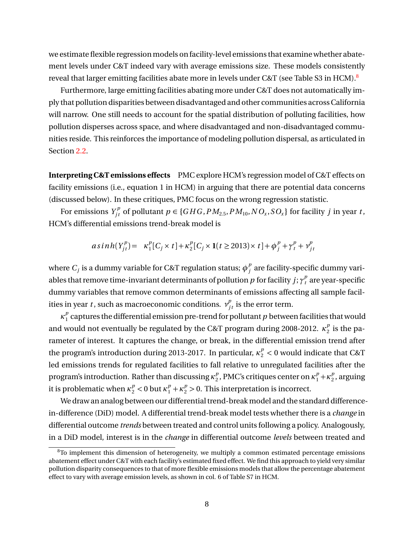we estimate flexible regression models on facility-level emissions that examine whether abatement levels under C&T indeed vary with average emissions size. These models consistently reveal that larger emitting facilities abate more in levels under C&T (see Table S3 in HCM).<sup>[8](#page-7-0)</sup>

Furthermore, large emitting facilities abating more under C&T does not automatically imply that pollution disparities between disadvantaged and other communities across California will narrow. One still needs to account for the spatial distribution of polluting facilities, how pollution disperses across space, and where disadvantaged and non-disadvantaged communities reside. This reinforces the importance of modeling pollution dispersal, as articulated in Section [2.2.](#page-3-2)

**Interpreting C&T emissions effects** PMC explore HCM's regression model of C&T effects on facility emissions (i.e., equation 1 in HCM) in arguing that there are potential data concerns (discussed below). In these critiques, PMC focus on the wrong regression statistic.

For emissions  $Y_{jt}^p$  of pollutant  $p \in \{GHG, PM_{2.5}, PM_{10}, NO_x, SO_x\}$  for facility *j* in year *t*, HCM's differential emissions trend-break model is

$$
asinh(Y_{jt}^{p}) = \kappa_1^{p} [C_j \times t] + \kappa_2^{p} [C_j \times 1(t \ge 2013) \times t] + \phi_j^{p} + \gamma_t^{p} + \gamma_{jt}^{p}
$$

where  $C_j$  is a dummy variable for C&T regulation status;  $\phi_j^p$  $j_{j}^{\nu}$  are facility-specific dummy variables that remove time-invariant determinants of pollution  $p$  for facility  $j; \gamma^p_t$  are year-specific dummy variables that remove common determinants of emissions affecting all sample facilities in year *t* , such as macroeconomic conditions.  $v_{jt}^p$  is the error term.

*κ p*  $\frac{\rho}{1}$  captures the differential emission pre-trend for pollutant  $p$  between facilities that would and would not eventually be regulated by the C&T program during 2008-2012.  $\kappa_2^p$  $_2^p$  is the parameter of interest. It captures the change, or break, in the differential emission trend after the program's introduction during 2013-2017. In particular,  $\kappa_{2}^{p} < 0$  would indicate that C&T led emissions trends for regulated facilities to fall relative to unregulated facilities after the program's introduction. Rather than discussing *κ p* <sup>*p*</sup></sup>, PMC's critiques center on  $κ_1^p + κ_2^p$  $_2^{\prime\prime}$ , arguing it is problematic when  $\kappa_2^p < 0$  but  $\kappa_1^p + \kappa_2^p > 0$ . This interpretation is incorrect.

We draw an analog between our differential trend-break model and the standard differencein-difference (DiD) model. A differential trend-break model tests whether there is a *change* in differential outcome *trends* between treated and control units following a policy. Analogously, in a DiD model, interest is in the *change* in differential outcome *levels* between treated and

<span id="page-7-0"></span> $8$ To implement this dimension of heterogeneity, we multiply a common estimated percentage emissions abatement effect under C&T with each facility's estimated fixed effect. We find this approach to yield very similar pollution disparity consequences to that of more flexible emissions models that allow the percentage abatement effect to vary with average emission levels, as shown in col. 6 of Table S7 in HCM.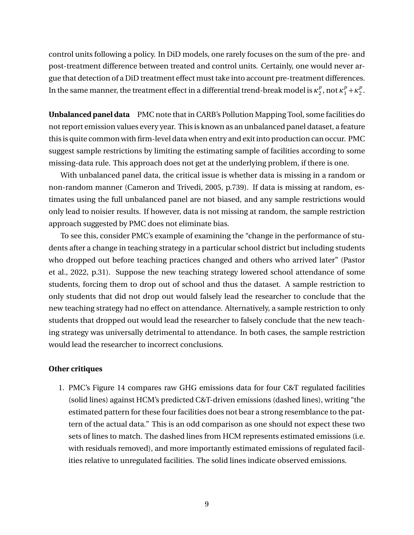control units following a policy. In DiD models, one rarely focuses on the sum of the pre- and post-treatment difference between treated and control units. Certainly, one would never argue that detection of a DiD treatment effect must take into account pre-treatment differences. In the same manner, the treatment effect in a differential trend-break model is  $\kappa_2^p$  $n_2^p$ , not  $\kappa_1^p + \kappa_2^p$  $\frac{p}{2}$ .

**Unbalanced panel data** PMC note that in CARB's Pollution Mapping Tool, some facilities do not report emission values every year. This is known as an unbalanced panel dataset, a feature this is quite common with firm-level data when entry and exit into production can occur. PMC suggest sample restrictions by limiting the estimating sample of facilities according to some missing-data rule. This approach does not get at the underlying problem, if there is one.

With unbalanced panel data, the critical issue is whether data is missing in a random or non-random manner [\(Cameron and Trivedi,](#page-10-11) [2005,](#page-10-11) p.739). If data is missing at random, estimates using the full unbalanced panel are not biased, and any sample restrictions would only lead to noisier results. If however, data is not missing at random, the sample restriction approach suggested by PMC does not eliminate bias.

To see this, consider PMC's example of examining the "change in the performance of students after a change in teaching strategy in a particular school district but including students who dropped out before teaching practices changed and others who arrived later" [\(Pastor](#page-11-0) [et al.,](#page-11-0) [2022,](#page-11-0) p.31). Suppose the new teaching strategy lowered school attendance of some students, forcing them to drop out of school and thus the dataset. A sample restriction to only students that did not drop out would falsely lead the researcher to conclude that the new teaching strategy had no effect on attendance. Alternatively, a sample restriction to only students that dropped out would lead the researcher to falsely conclude that the new teaching strategy was universally detrimental to attendance. In both cases, the sample restriction would lead the researcher to incorrect conclusions.

#### **Other critiques**

1. PMC's Figure 14 compares raw GHG emissions data for four C&T regulated facilities (solid lines) against HCM's predicted C&T-driven emissions (dashed lines), writing "the estimated pattern for these four facilities does not bear a strong resemblance to the pattern of the actual data." This is an odd comparison as one should not expect these two sets of lines to match. The dashed lines from HCM represents estimated emissions (i.e. with residuals removed), and more importantly estimated emissions of regulated facilities relative to unregulated facilities. The solid lines indicate observed emissions.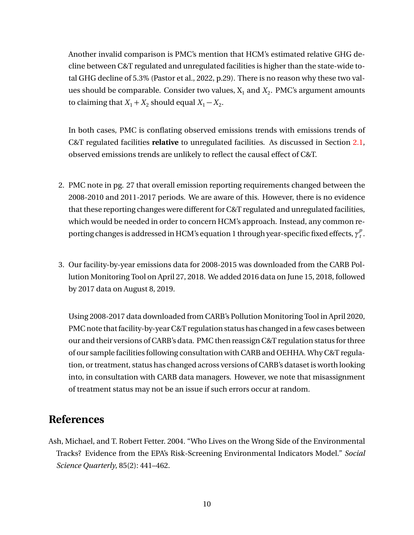Another invalid comparison is PMC's mention that HCM's estimated relative GHG decline between C&T regulated and unregulated facilities is higher than the state-wide total GHG decline of 5.3% [\(Pastor et al.,](#page-11-0) [2022,](#page-11-0) p.29). There is no reason why these two values should be comparable. Consider two values,  $\boldsymbol{\mathrm{X}}_1$  and  $\boldsymbol{\mathrm{X}}_2$ . PMC's argument amounts to claiming that  $X_1 + X_2$  should equal  $X_1 - X_2$ .

In both cases, PMC is conflating observed emissions trends with emissions trends of C&T regulated facilities **relative** to unregulated facilities. As discussed in Section [2.1,](#page-2-2) observed emissions trends are unlikely to reflect the causal effect of C&T.

- 2. PMC note in pg. 27 that overall emission reporting requirements changed between the 2008-2010 and 2011-2017 periods. We are aware of this. However, there is no evidence that these reporting changes were different for C&T regulated and unregulated facilities, which would be needed in order to concern HCM's approach. Instead, any common reporting changes is addressed in HCM's equation 1 through year-specific fixed effects, *γ p t* .
- 3. Our facility-by-year emissions data for 2008-2015 was downloaded from the CARB Pollution Monitoring Tool on April 27, 2018. We added 2016 data on June 15, 2018, followed by 2017 data on August 8, 2019.

Using 2008-2017 data downloaded from CARB's Pollution Monitoring Tool in April 2020, PMC note that facility-by-year C&T regulation status has changed in a few cases between our and their versions of CARB's data. PMC then reassign C&T regulation status for three of our sample facilities following consultation with CARB and OEHHA. Why C&T regulation, or treatment, status has changed across versions of CARB's dataset is worth looking into, in consultation with CARB data managers. However, we note that misassignment of treatment status may not be an issue if such errors occur at random.

# **References**

<span id="page-9-0"></span>Ash, Michael, and T. Robert Fetter. 2004. "Who Lives on the Wrong Side of the Environmental Tracks? Evidence from the EPA's Risk-Screening Environmental Indicators Model." *Social Science Quarterly*, 85(2): 441–462.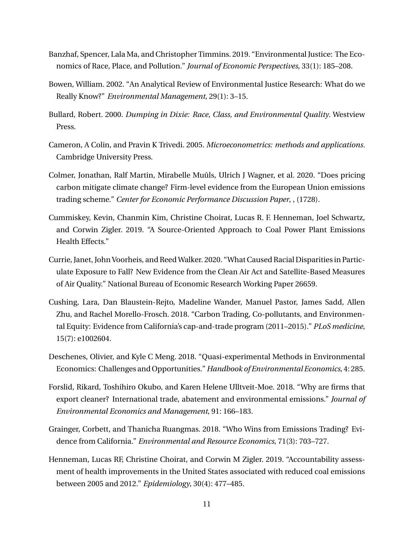- <span id="page-10-3"></span>Banzhaf, Spencer, Lala Ma, and Christopher Timmins. 2019. "Environmental Justice: The Economics of Race, Place, and Pollution." *Journal of Economic Perspectives*, 33(1): 185–208.
- <span id="page-10-2"></span>Bowen, William. 2002. "An Analytical Review of Environmental Justice Research: What do we Really Know?" *Environmental Management*, 29(1): 3–15.
- <span id="page-10-1"></span>Bullard, Robert. 2000. *Dumping in Dixie: Race, Class, and Environmental Quality.* Westview Press.
- <span id="page-10-11"></span>Cameron, A Colin, and Pravin K Trivedi. 2005. *Microeconometrics: methods and applications.* Cambridge University Press.
- <span id="page-10-4"></span>Colmer, Jonathan, Ralf Martin, Mirabelle Muûls, Ulrich J Wagner, et al. 2020. "Does pricing carbon mitigate climate change? Firm-level evidence from the European Union emissions trading scheme." *Center for Economic Performance Discussion Paper*, , (1728).
- <span id="page-10-9"></span>Cummiskey, Kevin, Chanmin Kim, Christine Choirat, Lucas R. F. Henneman, Joel Schwartz, and Corwin Zigler. 2019. "A Source-Oriented Approach to Coal Power Plant Emissions Health Effects."
- <span id="page-10-5"></span>Currie, Janet, John Voorheis, and Reed Walker. 2020. "What Caused Racial Disparities in Particulate Exposure to Fall? New Evidence from the Clean Air Act and Satellite-Based Measures of Air Quality." National Bureau of Economic Research Working Paper 26659.
- <span id="page-10-0"></span>Cushing, Lara, Dan Blaustein-Rejto, Madeline Wander, Manuel Pastor, James Sadd, Allen Zhu, and Rachel Morello-Frosch. 2018. "Carbon Trading, Co-pollutants, and Environmental Equity: Evidence from California's cap-and-trade program (2011–2015)." *PLoS medicine*, 15(7): e1002604.
- <span id="page-10-6"></span>Deschenes, Olivier, and Kyle C Meng. 2018. "Quasi-experimental Methods in Environmental Economics: Challenges and Opportunities." *Handbook of Environmental Economics*, 4: 285.
- <span id="page-10-7"></span>Forslid, Rikard, Toshihiro Okubo, and Karen Helene Ulltveit-Moe. 2018. "Why are firms that export cleaner? International trade, abatement and environmental emissions." *Journal of Environmental Economics and Management*, 91: 166–183.
- <span id="page-10-8"></span>Grainger, Corbett, and Thanicha Ruangmas. 2018. "Who Wins from Emissions Trading? Evidence from California." *Environmental and Resource Economics*, 71(3): 703–727.
- <span id="page-10-10"></span>Henneman, Lucas RF, Christine Choirat, and Corwin M Zigler. 2019. "Accountability assessment of health improvements in the United States associated with reduced coal emissions between 2005 and 2012." *Epidemiology*, 30(4): 477–485.